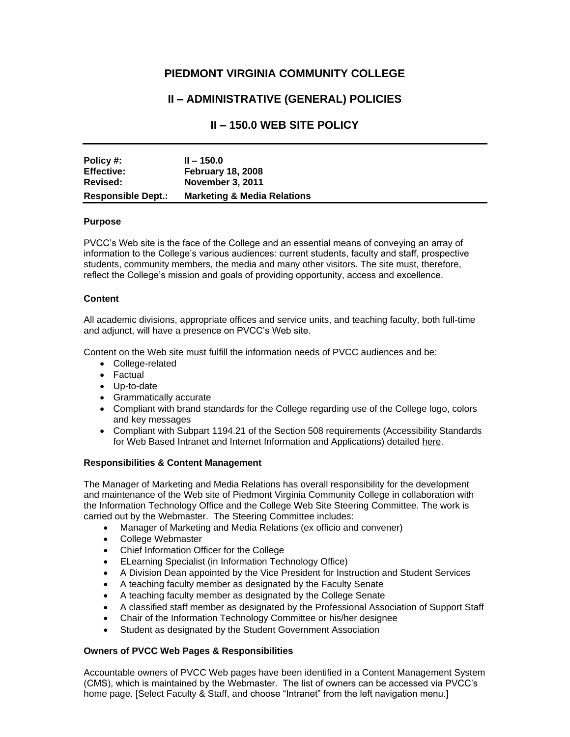# **PIEDMONT VIRGINIA COMMUNITY COLLEGE**

# **II – ADMINISTRATIVE (GENERAL) POLICIES**

# **II – 150.0 WEB SITE POLICY**

| Policy #:                 | $II - 150.0$                           |
|---------------------------|----------------------------------------|
| <b>Effective:</b>         | <b>February 18, 2008</b>               |
| Revised:                  | <b>November 3, 2011</b>                |
| <b>Responsible Dept.:</b> | <b>Marketing &amp; Media Relations</b> |

## **Purpose**

PVCC's Web site is the face of the College and an essential means of conveying an array of information to the College's various audiences: current students, faculty and staff, prospective students, community members, the media and many other visitors. The site must, therefore, reflect the College's mission and goals of providing opportunity, access and excellence.

## **Content**

All academic divisions, appropriate offices and service units, and teaching faculty, both full-time and adjunct, will have a presence on PVCC's Web site.

Content on the Web site must fulfill the information needs of PVCC audiences and be:

- College-related
- Factual
- Up-to-date
- Grammatically accurate
- Compliant with brand standards for the College regarding use of the College logo, colors and key messages
- Compliant with Subpart 1194.21 of the Section 508 requirements (Accessibility Standards for Web Based Intranet and Internet Information and Applications) detailed [here.](http://www.section508.gov/index.cfm?fuseAction=stdsSum#web)

## **Responsibilities & Content Management**

The Manager of Marketing and Media Relations has overall responsibility for the development and maintenance of the Web site of Piedmont Virginia Community College in collaboration with the Information Technology Office and the College Web Site Steering Committee. The work is carried out by the Webmaster. The Steering Committee includes:

- Manager of Marketing and Media Relations (ex officio and convener)
- College Webmaster
- Chief Information Officer for the College
- ELearning Specialist (in Information Technology Office)
- A Division Dean appointed by the Vice President for Instruction and Student Services
- A teaching faculty member as designated by the Faculty Senate
- A teaching faculty member as designated by the College Senate
- A classified staff member as designated by the Professional Association of Support Staff
- Chair of the Information Technology Committee or his/her designee
- Student as designated by the Student Government Association

## **Owners of PVCC Web Pages & Responsibilities**

Accountable owners of PVCC Web pages have been identified in a Content Management System (CMS), which is maintained by the Webmaster. The list of owners can be accessed via PVCC's home page. [Select Faculty & Staff, and choose "Intranet" from the left navigation menu.]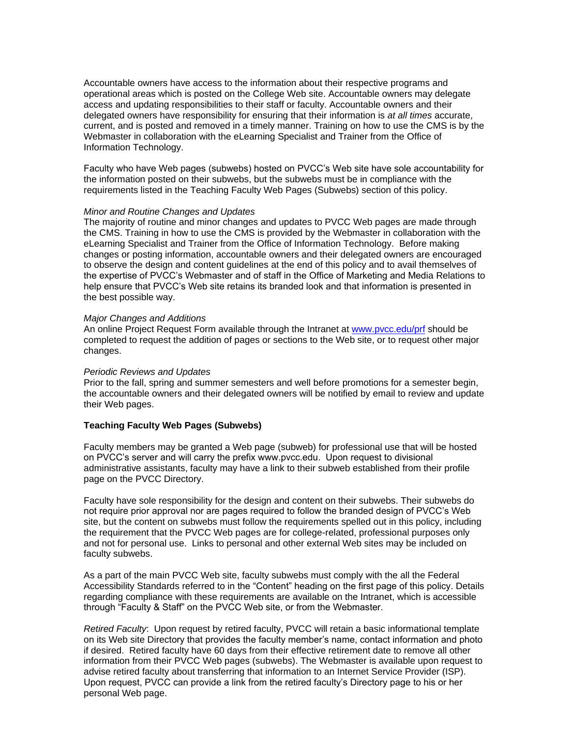Accountable owners have access to the information about their respective programs and operational areas which is posted on the College Web site. Accountable owners may delegate access and updating responsibilities to their staff or faculty. Accountable owners and their delegated owners have responsibility for ensuring that their information is *at all times* accurate, current, and is posted and removed in a timely manner. Training on how to use the CMS is by the Webmaster in collaboration with the eLearning Specialist and Trainer from the Office of Information Technology.

Faculty who have Web pages (subwebs) hosted on PVCC's Web site have sole accountability for the information posted on their subwebs, but the subwebs must be in compliance with the requirements listed in the Teaching Faculty Web Pages (Subwebs) section of this policy.

### *Minor and Routine Changes and Updates*

The majority of routine and minor changes and updates to PVCC Web pages are made through the CMS. Training in how to use the CMS is provided by the Webmaster in collaboration with the eLearning Specialist and Trainer from the Office of Information Technology. Before making changes or posting information, accountable owners and their delegated owners are encouraged to observe the design and content guidelines at the end of this policy and to avail themselves of the expertise of PVCC's Webmaster and of staff in the Office of Marketing and Media Relations to help ensure that PVCC's Web site retains its branded look and that information is presented in the best possible way.

### *Major Changes and Additions*

An online Project Request Form available through the Intranet at [www.pvcc.edu/prf](https://www.pvcc.edu/iNET/index.php?go=follow&url=https://www.pvcc.edu/iNET/mmr/project_request_form.php) should be completed to request the addition of pages or sections to the Web site, or to request other major changes.

#### *Periodic Reviews and Updates*

Prior to the fall, spring and summer semesters and well before promotions for a semester begin, the accountable owners and their delegated owners will be notified by email to review and update their Web pages.

### **Teaching Faculty Web Pages (Subwebs)**

Faculty members may be granted a Web page (subweb) for professional use that will be hosted on PVCC's server and will carry the prefix www.pvcc.edu. Upon request to divisional administrative assistants, faculty may have a link to their subweb established from their profile page on the PVCC Directory.

Faculty have sole responsibility for the design and content on their subwebs. Their subwebs do not require prior approval nor are pages required to follow the branded design of PVCC's Web site, but the content on subwebs must follow the requirements spelled out in this policy, including the requirement that the PVCC Web pages are for college-related, professional purposes only and not for personal use. Links to personal and other external Web sites may be included on faculty subwebs.

As a part of the main PVCC Web site, faculty subwebs must comply with the all the Federal Accessibility Standards referred to in the "Content" heading on the first page of this policy. Details regarding compliance with these requirements are available on the Intranet, which is accessible through "Faculty & Staff" on the PVCC Web site, or from the Webmaster.

*Retired Faculty*: Upon request by retired faculty, PVCC will retain a basic informational template on its Web site Directory that provides the faculty member's name, contact information and photo if desired. Retired faculty have 60 days from their effective retirement date to remove all other information from their PVCC Web pages (subwebs). The Webmaster is available upon request to advise retired faculty about transferring that information to an Internet Service Provider (ISP). Upon request, PVCC can provide a link from the retired faculty's Directory page to his or her personal Web page.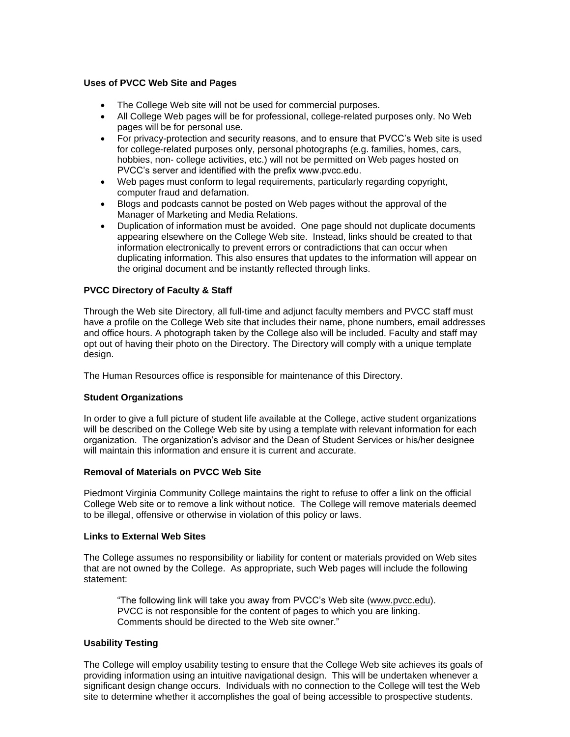## **Uses of PVCC Web Site and Pages**

- The College Web site will not be used for commercial purposes.
- All College Web pages will be for professional, college-related purposes only. No Web pages will be for personal use.
- For privacy-protection and security reasons, and to ensure that PVCC's Web site is used for college-related purposes only, personal photographs (e.g. families, homes, cars, hobbies, non- college activities, etc.) will not be permitted on Web pages hosted on PVCC's server and identified with the prefix www.pvcc.edu.
- Web pages must conform to legal requirements, particularly regarding copyright, computer fraud and defamation.
- Blogs and podcasts cannot be posted on Web pages without the approval of the Manager of Marketing and Media Relations.
- Duplication of information must be avoided. One page should not duplicate documents appearing elsewhere on the College Web site. Instead, links should be created to that information electronically to prevent errors or contradictions that can occur when duplicating information. This also ensures that updates to the information will appear on the original document and be instantly reflected through links.

## **PVCC Directory of Faculty & Staff**

Through the Web site Directory, all full-time and adjunct faculty members and PVCC staff must have a profile on the College Web site that includes their name, phone numbers, email addresses and office hours. A photograph taken by the College also will be included. Faculty and staff may opt out of having their photo on the Directory. The Directory will comply with a unique template design.

The Human Resources office is responsible for maintenance of this Directory.

## **Student Organizations**

In order to give a full picture of student life available at the College, active student organizations will be described on the College Web site by using a template with relevant information for each organization. The organization's advisor and the Dean of Student Services or his/her designee will maintain this information and ensure it is current and accurate.

## **Removal of Materials on PVCC Web Site**

Piedmont Virginia Community College maintains the right to refuse to offer a link on the official College Web site or to remove a link without notice. The College will remove materials deemed to be illegal, offensive or otherwise in violation of this policy or laws.

## **Links to External Web Sites**

The College assumes no responsibility or liability for content or materials provided on Web sites that are not owned by the College. As appropriate, such Web pages will include the following statement:

"The following link will take you away from PVCC's Web site [\(www.pvcc.edu\)](http://www.pvcc.edu/). PVCC is not responsible for the content of pages to which you are linking. Comments should be directed to the Web site owner."

## **Usability Testing**

The College will employ usability testing to ensure that the College Web site achieves its goals of providing information using an intuitive navigational design. This will be undertaken whenever a significant design change occurs. Individuals with no connection to the College will test the Web site to determine whether it accomplishes the goal of being accessible to prospective students.